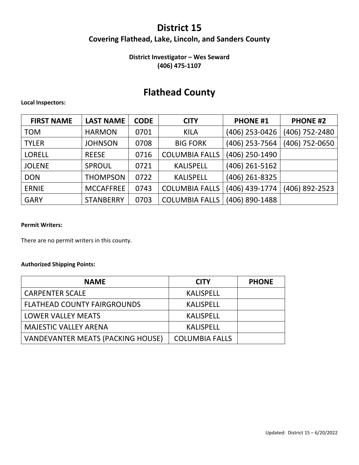## **District 15 Covering Flathead, Lake, Lincoln, and Sanders County**

### **District Investigator – Wes Seward (406) 475‐1107**

## **Flathead County**

### **Local Inspectors:**

| <b>FIRST NAME</b> | <b>LAST NAME</b> | <b>CODE</b> | <b>CITY</b>           | <b>PHONE #1</b> | <b>PHONE #2</b> |
|-------------------|------------------|-------------|-----------------------|-----------------|-----------------|
| <b>TOM</b>        | <b>HARMON</b>    | 0701        | <b>KILA</b>           | (406) 253-0426  | (406) 752-2480  |
| <b>TYLER</b>      | <b>JOHNSON</b>   | 0708        | <b>BIG FORK</b>       | (406) 253-7564  | (406) 752-0650  |
| <b>LORELL</b>     | <b>REESE</b>     | 0716        | <b>COLUMBIA FALLS</b> | (406) 250-1490  |                 |
| <b>JOLENE</b>     | SPROUL           | 0721        | <b>KALISPELL</b>      | (406) 261-5162  |                 |
| <b>DON</b>        | <b>THOMPSON</b>  | 0722        | <b>KALISPELL</b>      | (406) 261-8325  |                 |
| <b>ERNIE</b>      | <b>MCCAFFREE</b> | 0743        | <b>COLUMBIA FALLS</b> | (406) 439-1774  | (406) 892-2523  |
| <b>GARY</b>       | <b>STANBERRY</b> | 0703        | <b>COLUMBIA FALLS</b> | (406) 890-1488  |                 |

### **Permit Writers:**

There are no permit writers in this county.

### **Authorized Shipping Points:**

| <b>NAME</b>                        | <b>CITY</b>           | <b>PHONE</b> |
|------------------------------------|-----------------------|--------------|
| <b>CARPENTER SCALE</b>             | <b>KALISPELL</b>      |              |
| <b>FLATHEAD COUNTY FAIRGROUNDS</b> | <b>KALISPELL</b>      |              |
| <b>LOWER VALLEY MEATS</b>          | <b>KALISPELL</b>      |              |
| <b>MAJESTIC VALLEY ARENA</b>       | <b>KALISPELL</b>      |              |
| VANDEVANTER MEATS (PACKING HOUSE)  | <b>COLUMBIA FALLS</b> |              |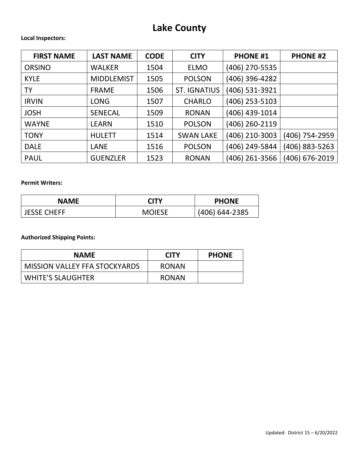# **Lake County**

### **Local Inspectors:**

| <b>FIRST NAME</b> | <b>LAST NAME</b>  | <b>CODE</b> | <b>CITY</b>         | <b>PHONE #1</b> | <b>PHONE #2</b> |
|-------------------|-------------------|-------------|---------------------|-----------------|-----------------|
| <b>ORSINO</b>     | <b>WALKER</b>     | 1504        | <b>ELMO</b>         | (406) 270-5535  |                 |
| <b>KYLE</b>       | <b>MIDDLEMIST</b> | 1505        | <b>POLSON</b>       | (406) 396-4282  |                 |
| <b>TY</b>         | <b>FRAME</b>      | 1506        | <b>ST. IGNATIUS</b> | (406) 531-3921  |                 |
| <b>IRVIN</b>      | <b>LONG</b>       | 1507        | <b>CHARLO</b>       | (406) 253-5103  |                 |
| <b>JOSH</b>       | <b>SENECAL</b>    | 1509        | <b>RONAN</b>        | (406) 439-1014  |                 |
| <b>WAYNE</b>      | <b>LEARN</b>      | 1510        | <b>POLSON</b>       | (406) 260-2119  |                 |
| <b>TONY</b>       | <b>HULETT</b>     | 1514        | <b>SWAN LAKE</b>    | (406) 210-3003  | (406) 754-2959  |
| <b>DALE</b>       | <b>LANE</b>       | 1516        | <b>POLSON</b>       | (406) 249-5844  | (406) 883-5263  |
| <b>PAUL</b>       | <b>GUENZLER</b>   | 1523        | <b>RONAN</b>        | (406) 261-3566  | (406) 676-2019  |

### **Permit Writers:**

| <b>NAME</b>        | רור∩          | <b>PHONE</b>   |
|--------------------|---------------|----------------|
| <b>JESSE CHEFF</b> | <b>MOIESE</b> | (406) 644-2385 |

**Authorized Shipping Points:**

| <b>NAME</b>                          | <b>CITY</b>  | <b>PHONE</b> |
|--------------------------------------|--------------|--------------|
| <b>MISSION VALLEY FFA STOCKYARDS</b> | <b>RONAN</b> |              |
| WHITE'S SLAUGHTER                    | <b>RONAN</b> |              |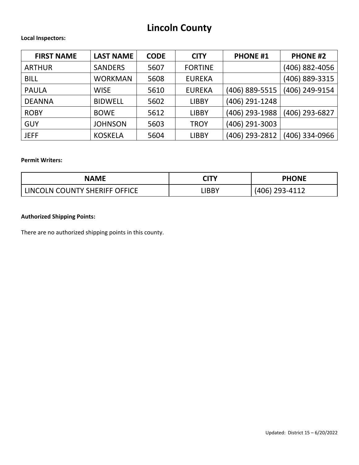# **Lincoln County**

### **Local Inspectors:**

| <b>FIRST NAME</b> | <b>LAST NAME</b> | <b>CODE</b> | <b>CITY</b>    | <b>PHONE #1</b> | <b>PHONE #2</b> |
|-------------------|------------------|-------------|----------------|-----------------|-----------------|
| <b>ARTHUR</b>     | <b>SANDERS</b>   | 5607        | <b>FORTINE</b> |                 | (406) 882-4056  |
| <b>BILL</b>       | <b>WORKMAN</b>   | 5608        | <b>EUREKA</b>  |                 | (406) 889-3315  |
| <b>PAULA</b>      | <b>WISE</b>      | 5610        | <b>EUREKA</b>  | (406) 889-5515  | (406) 249-9154  |
| <b>DEANNA</b>     | <b>BIDWELL</b>   | 5602        | <b>LIBBY</b>   | (406) 291-1248  |                 |
| <b>ROBY</b>       | <b>BOWE</b>      | 5612        | <b>LIBBY</b>   | (406) 293-1988  | (406) 293-6827  |
| <b>GUY</b>        | <b>JOHNSON</b>   | 5603        | <b>TROY</b>    | (406) 291-3003  |                 |
| <b>JEFF</b>       | <b>KOSKELA</b>   | 5604        | <b>LIBBY</b>   | (406) 293-2812  | (406) 334-0966  |

### **Permit Writers:**

| <b>NAME</b>                   | <b>CITY</b> | <b>PHONE</b>   |
|-------------------------------|-------------|----------------|
| LINCOLN COUNTY SHERIFF OFFICE | .IBBY       | (406) 293-4112 |

### **Authorized Shipping Points:**

There are no authorized shipping points in this county.